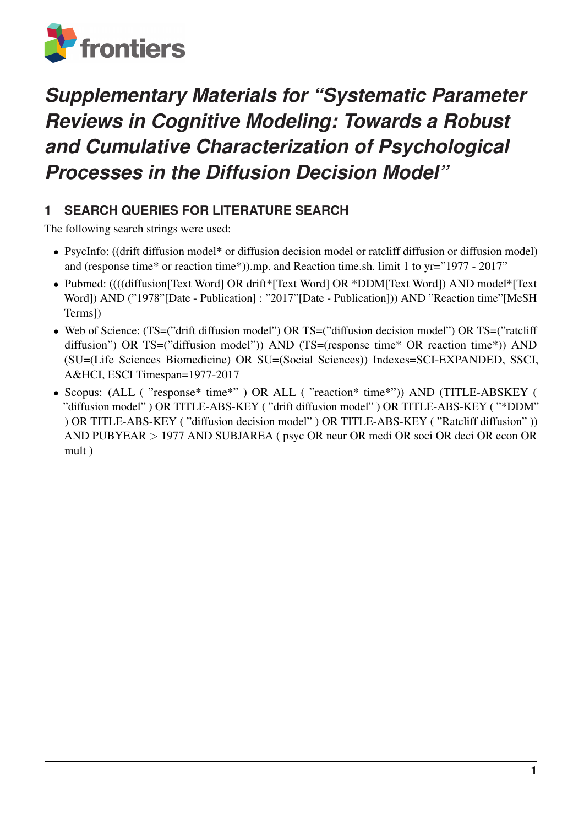

# *Supplementary Materials for "Systematic Parameter Reviews in Cognitive Modeling: Towards a Robust and Cumulative Characterization of Psychological Processes in the Diffusion Decision Model"*

## **1 SEARCH QUERIES FOR LITERATURE SEARCH**

The following search strings were used:

- PsycInfo: ((drift diffusion model\* or diffusion decision model or ratcliff diffusion or diffusion model) and (response time\* or reaction time\*)).mp. and Reaction time.sh. limit 1 to yr="1977 - 2017"
- Pubmed: ((((diffusion[Text Word] OR drift\*[Text Word] OR \*DDM[Text Word]) AND model\*[Text Word]) AND ("1978"[Date - Publication]: "2017"[Date - Publication])) AND "Reaction time"[MeSH Terms])
- Web of Science: (TS=("drift diffusion model") OR TS=("diffusion decision model") OR TS=("ratcliff diffusion") OR TS=("diffusion model")) AND (TS=(response time\* OR reaction time\*)) AND (SU=(Life Sciences Biomedicine) OR SU=(Social Sciences)) Indexes=SCI-EXPANDED, SSCI, A&HCI, ESCI Timespan=1977-2017
- Scopus: (ALL ( "response\* time\*") OR ALL ( "reaction\* time\*")) AND (TITLE-ABSKEY ( "diffusion model" ) OR TITLE-ABS-KEY ( "drift diffusion model" ) OR TITLE-ABS-KEY ( "\*DDM" ) OR TITLE-ABS-KEY ( "diffusion decision model" ) OR TITLE-ABS-KEY ( "Ratcliff diffusion" )) AND PUBYEAR > 1977 AND SUBJAREA ( psyc OR neur OR medi OR soci OR deci OR econ OR mult )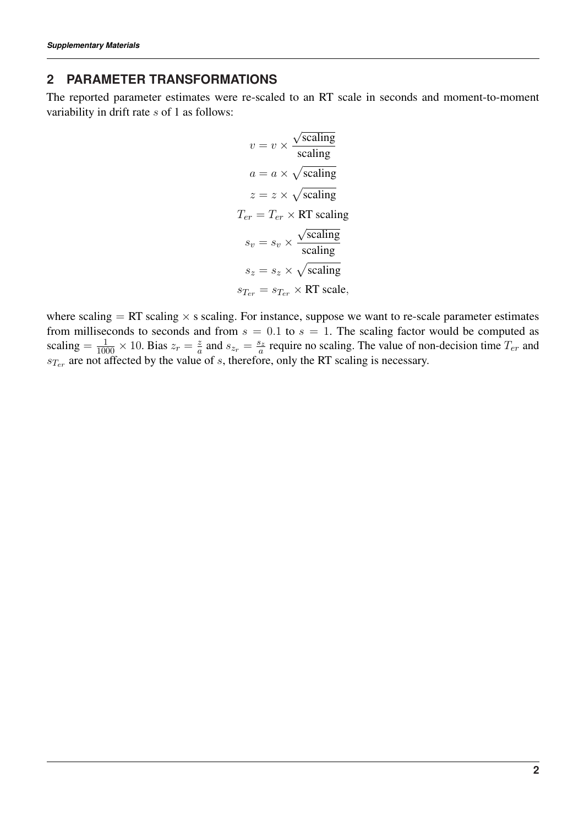#### **2 PARAMETER TRANSFORMATIONS**

The reported parameter estimates were re-scaled to an RT scale in seconds and moment-to-moment variability in drift rate s of 1 as follows:

$$
v = v \times \frac{\sqrt{\text{scaling}}}{\text{scaling}}
$$

$$
a = a \times \sqrt{\text{scaling}}
$$

$$
z = z \times \sqrt{\text{scaling}}
$$

$$
T_{er} = T_{er} \times \text{RT scaling}
$$

$$
s_v = s_v \times \frac{\sqrt{\text{scaling}}}{\text{scaling}}
$$

$$
s_z = s_z \times \sqrt{\text{scaling}}
$$

$$
s_{T_{er}} = s_{T_{er}} \times \text{RT scale},
$$

where scaling  $= RT$  scaling  $\times$  s scaling. For instance, suppose we want to re-scale parameter estimates from milliseconds to seconds and from  $s = 0.1$  to  $s = 1$ . The scaling factor would be computed as scaling  $=$   $\frac{1}{1000} \times 10$ . Bias  $z_r = \frac{z}{a}$  $\frac{z}{a}$  and  $s_{z_r} = \frac{s_z}{a}$  $\frac{s_z}{a}$  require no scaling. The value of non-decision time  $T_{er}$  and  $s_{Ter}$  are not affected by the value of s, therefore, only the RT scaling is necessary.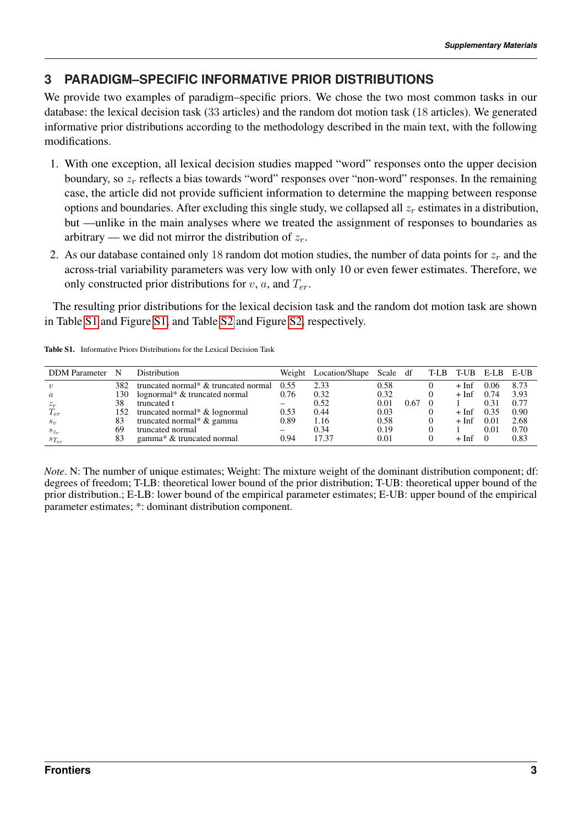## **3 PARADIGM–SPECIFIC INFORMATIVE PRIOR DISTRIBUTIONS**

We provide two examples of paradigm–specific priors. We chose the two most common tasks in our database: the lexical decision task (33 articles) and the random dot motion task (18 articles). We generated informative prior distributions according to the methodology described in the main text, with the following modifications.

- 1. With one exception, all lexical decision studies mapped "word" responses onto the upper decision boundary, so  $z_r$  reflects a bias towards "word" responses over "non-word" responses. In the remaining case, the article did not provide sufficient information to determine the mapping between response options and boundaries. After excluding this single study, we collapsed all  $z_r$  estimates in a distribution, but —unlike in the main analyses where we treated the assignment of responses to boundaries as arbitrary — we did not mirror the distribution of  $z_r$ .
- 2. As our database contained only 18 random dot motion studies, the number of data points for  $z_r$  and the across-trial variability parameters was very low with only 10 or even fewer estimates. Therefore, we only constructed prior distributions for  $v$ ,  $a$ , and  $T_{er}$ .

The resulting prior distributions for the lexical decision task and the random dot motion task are shown in Table [S1](#page-2-0) and Figure [S1,](#page-3-0) and Table [S2](#page-4-0) and Figure [S2,](#page-5-0) respectively.

| <b>DDM</b> Parameter | N   | Distribution                         | Weight | Location/Shape Scale df |      |      | T-LB T-UB E-LB |      | E-UB |
|----------------------|-----|--------------------------------------|--------|-------------------------|------|------|----------------|------|------|
|                      | 382 | truncated normal* & truncated normal | 0.55   | 2.33                    | 0.58 |      | + Inf          | 0.06 | 8.73 |
| $\boldsymbol{a}$     | 130 | lognormal* & truncated normal        | 0.76   | 0.32                    | 0.32 |      | + Inf          | 0.74 | 3.93 |
| $z_r$                | 38  | truncated t                          |        | 0.52                    | 0.01 | 0.67 |                | 0.31 | 0.77 |
| $T_{er}$             | 152 | truncated normal* & lognormal        | 0.53   | 0.44                    | 0.03 |      | $+$ Inf        | 0.35 | 0.90 |
| $s_v$                | 83  | truncated normal* & gamma            | 0.89   | 1.16                    | 0.58 |      | + Inf          | 0.01 | 2.68 |
| $s_{z_r}$            | 69  | truncated normal                     |        | 0.34                    | 0.19 |      |                | 0.01 | 0.70 |
| $s_{T_{er}}$         | 83  | gamma* & truncated normal            | 0.94   | 17.37                   | 0.01 |      | + Inf          |      | 0.83 |

<span id="page-2-0"></span>Table S1. Informative Priors Distributions for the Lexical Decision Task

*Note*. N: The number of unique estimates; Weight: The mixture weight of the dominant distribution component; df: degrees of freedom; T-LB: theoretical lower bound of the prior distribution; T-UB: theoretical upper bound of the prior distribution.; E-LB: lower bound of the empirical parameter estimates; E-UB: upper bound of the empirical parameter estimates; \*: dominant distribution component.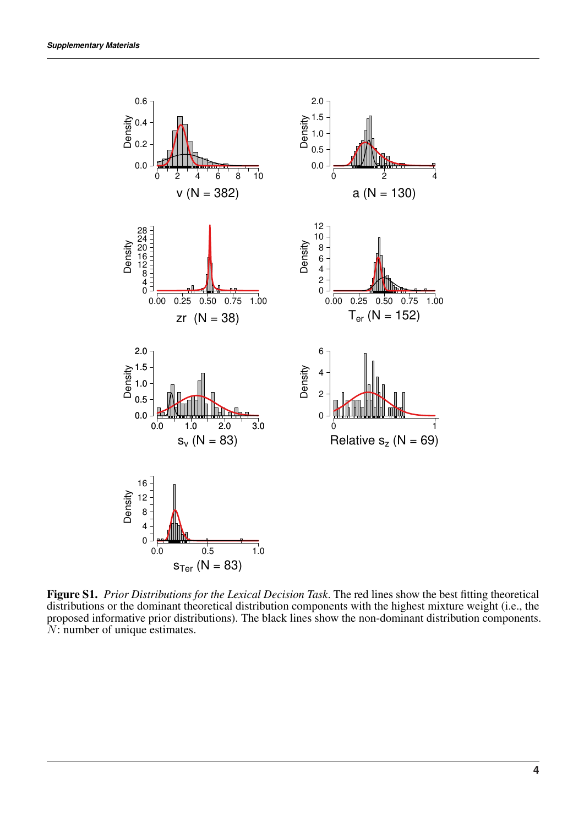

<span id="page-3-0"></span>Figure S1. *Prior Distributions for the Lexical Decision Task*. The red lines show the best fitting theoretical distributions or the dominant theoretical distribution components with the highest mixture weight (i.e., the proposed informative prior distributions). The black lines show the non-dominant distribution components. N: number of unique estimates.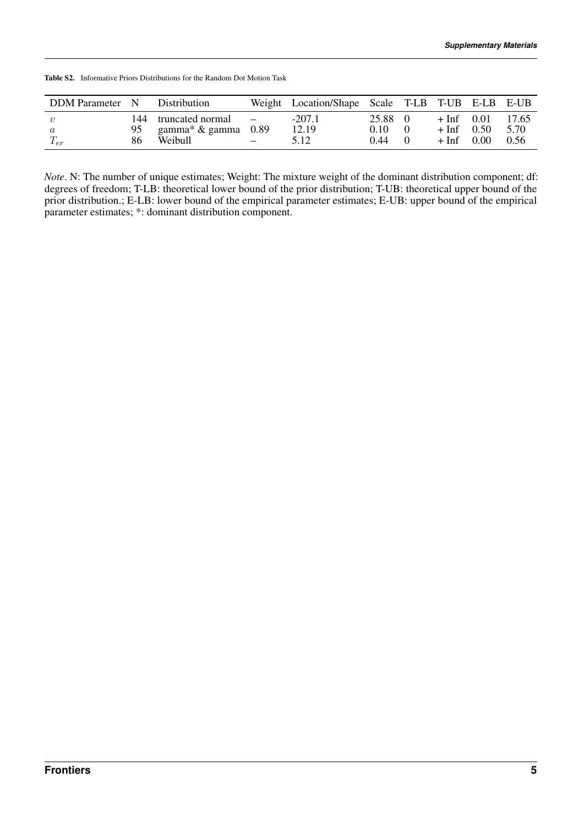| DDM Parameter N                |    | <b>Distribution</b>                               |                    | Weight Location/Shape Scale T-LB T-UB E-LB E-UB |                       |                                         |      |                       |
|--------------------------------|----|---------------------------------------------------|--------------------|-------------------------------------------------|-----------------------|-----------------------------------------|------|-----------------------|
| $\eta$<br>$\alpha$<br>$T_{er}$ | 86 | 144 truncated normal<br>gamma* & gamma<br>Weibull | $\sim$ $-$<br>0.89 | $-207.1$<br>12.19<br>5.12                       | 25.88<br>0.10<br>0.44 | $+$ Inf 0.01<br>$+$ Inf 0.50<br>$+$ Inf | 0.00 | 17.65<br>5.70<br>0.56 |

<span id="page-4-0"></span>Table S2. Informative Priors Distributions for the Random Dot Motion Task

*Note*. N: The number of unique estimates; Weight: The mixture weight of the dominant distribution component; df: degrees of freedom; T-LB: theoretical lower bound of the prior distribution; T-UB: theoretical upper bound of the prior distribution.; E-LB: lower bound of the empirical parameter estimates; E-UB: upper bound of the empirical parameter estimates; \*: dominant distribution component.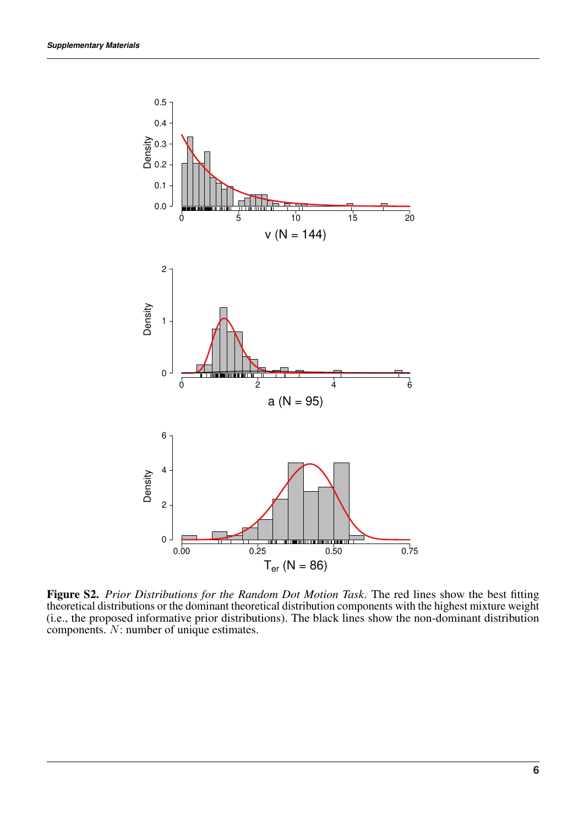

<span id="page-5-0"></span>Figure S2. *Prior Distributions for the Random Dot Motion Task*. The red lines show the best fitting theoretical distributions or the dominant theoretical distribution components with the highest mixture weight (i.e., the proposed informative prior distributions). The black lines show the non-dominant distribution components. N: number of unique estimates.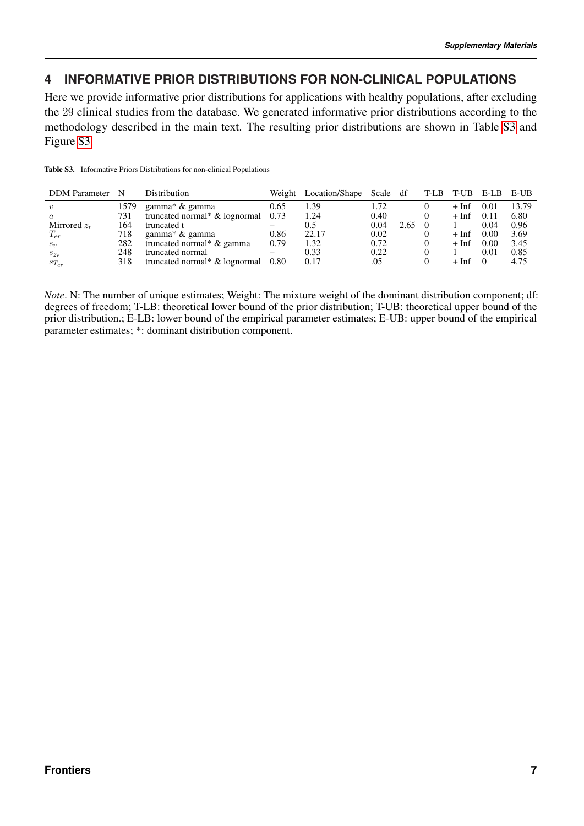## **4 INFORMATIVE PRIOR DISTRIBUTIONS FOR NON-CLINICAL POPULATIONS**

Here we provide informative prior distributions for applications with healthy populations, after excluding the 29 clinical studies from the database. We generated informative prior distributions according to the methodology described in the main text. The resulting prior distributions are shown in Table [S3](#page-6-0) and Figure [S3.](#page-7-0)

| <b>DDM</b> Parameter | N    | <b>Distribution</b>           |                                | Weight Location/Shape Scale df |      |      | T-LB T-UB E-LB E-UB |          |       |
|----------------------|------|-------------------------------|--------------------------------|--------------------------------|------|------|---------------------|----------|-------|
|                      | 1579 | gamma* & gamma                | 0.65                           | 1.39                           | 1.72 |      | $+$ Inf             | 0.01     | 13.79 |
| $\boldsymbol{a}$     | 731  | truncated normal* & lognormal | 0.73                           | 1.24                           | 0.40 |      | $+$ Inf             | 0.11     | 6.80  |
| Mirrored $z_r$       | 164  | truncated t                   |                                | 0.5                            | 0.04 | 2.65 |                     | 0.04     | 0.96  |
| $T_{er}$             | 718  | gamma* & gamma                | 0.86                           | 22.17                          | 0.02 |      | $+$ Inf             | 0.00     | 3.69  |
| $S_{\eta}$           | 282  | truncated normal* & gamma     | 0.79                           | 1.32                           | 0.72 |      | $+$ Inf             | 0.00     | 3.45  |
| $s_{z_r}$            | 248  | truncated normal              | $\qquad \qquad \longleftarrow$ | 0.33                           | 0.22 |      |                     | 0.01     | 0.85  |
| $s_{T_{er}}$         | 318  | truncated normal* & lognormal | 0.80                           | 0.17                           | .05  |      | $+$ Inf             | $\Omega$ | 4.75  |

<span id="page-6-0"></span>Table S3. Informative Priors Distributions for non-clinical Populations

*Note*. N: The number of unique estimates; Weight: The mixture weight of the dominant distribution component; df: degrees of freedom; T-LB: theoretical lower bound of the prior distribution; T-UB: theoretical upper bound of the prior distribution.; E-LB: lower bound of the empirical parameter estimates; E-UB: upper bound of the empirical parameter estimates; \*: dominant distribution component.